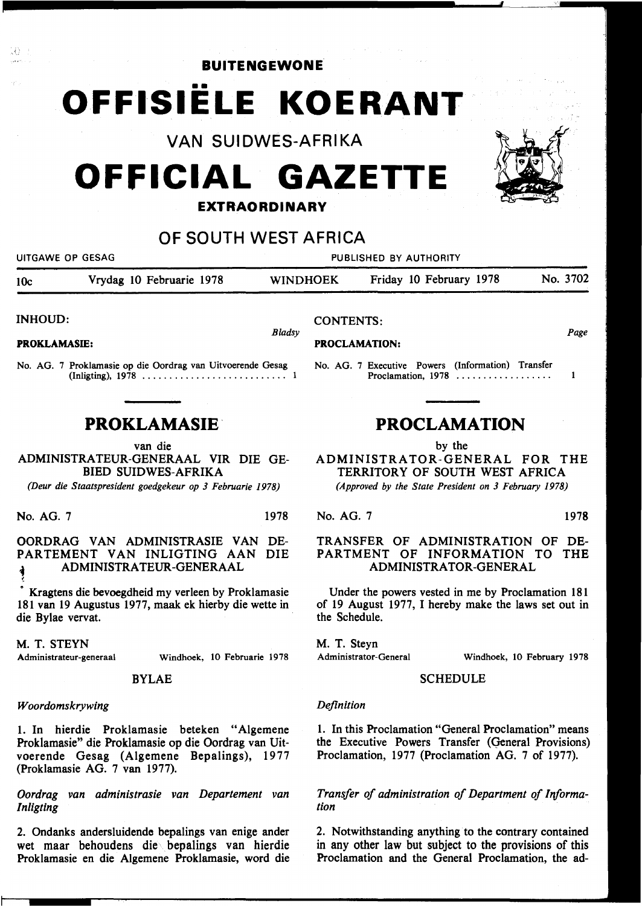**BUITENGEWONE** 

# •• **OFFISIELE KOERANT**

VAN SUIDWES-AFRIKA

## **OFFICIAL GAZETTE**

### **EXTRAORDINARY**

### OF SOUTH WEST AFRICA

UITGAWE OP GESAG PUBLISHED BY AUTHORITY 10c Vrydag 10 Februarie 1978 WINDHOEK Friday 10 February 1978 No. 3702

*Bladsy* 

INHOUD:

18

PROKLAMASIE:

No. AG. 7 Proklamasie op die Oordrag van Uitvoerende Gesag (lnligting), 1978 . . . . . . . . . . . . . . . . . . . . . . . . . . . 1

## **PROKLAMASIE-**

#### van die

ADMINISTRATEUR-GENERAAL VIR DIE GE-BIED SUIDWES-AFRIKA

*(Deur die Staatspresident goedgekeur op 3 Februarie 1978)* 

No. AG. 7 1978

OORDRAG VAN ADMINISTRASIE VAN DE-PARTEMENT VAN INLIGTING AAN DIE ,.. ADMINISTRATEUR-GENERAAL

• Kragtens die bevoegdheid my verleen by Proklamasie 181 van 19 Augustus 1977, maak ek hierby die wette in die Bylae vervat.

M. T. STEYN

~

Administrateur-generaal Windhoek, 10 Februarie 1978

#### BYLAE

#### *Woordomskrywing*

1. In hierdie Proklamasie beteken "Algemene Proklamasie" die Proklamasie op die Oordrag van Uitvoerende Gesag (Algemene Bepalings), 1977 (Proklamasie AG. 7 van 1977).

*Oordrag van administrasie van Departement van lnligting* 

2. Ondanks andersluidende bepalings van enige ander wet maar behoudens die bepalings van hierdie Proklamasie en die Algemene Proklamasie, word die

## **PROCLAMATION**

Proclamation,  $1978$  ...................

No. AG. 7 Executive Powers (Information) Transfer

by the

ADMINISTRATOR-GENERAL FOR THE TERRITORY OF SOUTH WEST AFRICA *(Approved by the State President on 3 February 1978)* 

No. AG. 7 1978

CONTENTS:

PROCLAMATION:

*Page* 

 $\mathbf{1}$ 

#### TRANSFER OF ADMINISTRATION OF DE-PARTMENT OF INFORMATION TO THE ADMINISTRATOR-GENERAL

Under the powers vested in me by Proclamation 181 of 19 August 1977, I hereby make the laws set out in the Schedule.

M. T. Steyn Administrator-General

Windhoek, 10 February 1978

#### **SCHEDULE**

#### *Definition*

1. In this Proclamation "General Proclamation" means the Executive Powers Transfer (General Provisions) Proclamation, 1977 (Proclamation AG. 7 of 1977).

Transfer of administration of Department of Informa*tion* 

2. Notwithstanding anything to the contrary contained in any other law but subject to the provisions of this Proclamation and the General Proclamation, the ad-